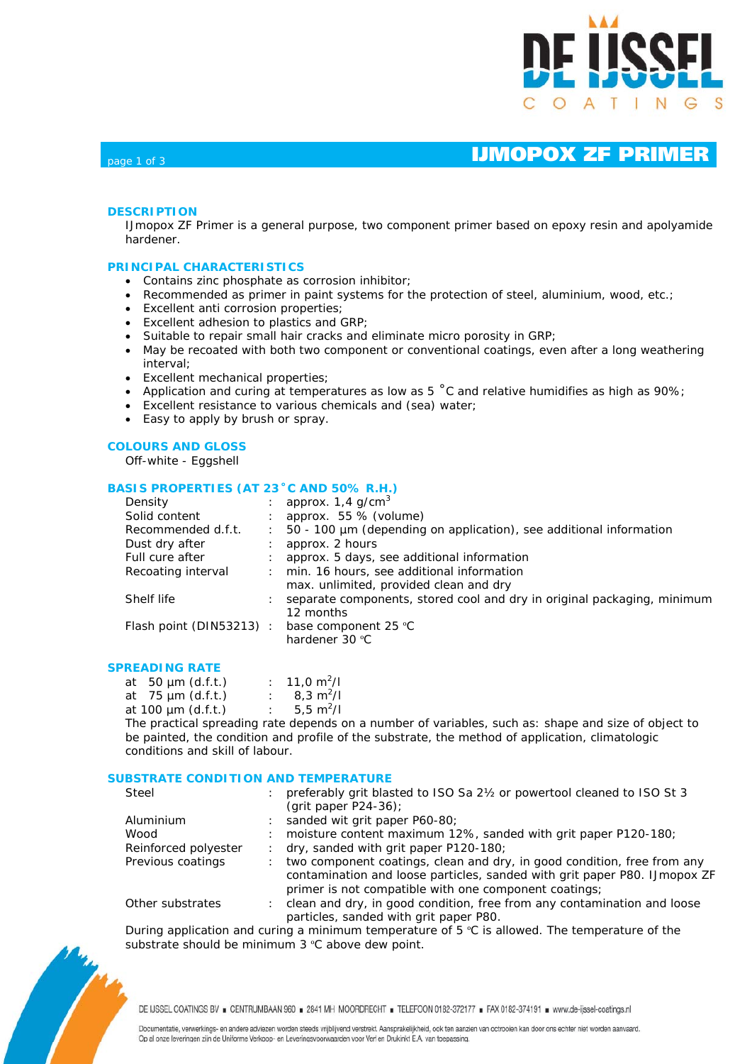

## $_{\text{page 1 of 3}}$   $_{\text{page 1 of 3}}$

### **DESCRIPTION**

IJmopox ZF Primer is a general purpose, two component primer based on epoxy resin and apolyamide hardener.

### **PRINCIPAL CHARACTERISTICS**

- Contains zinc phosphate as corrosion inhibitor;
- Recommended as primer in paint systems for the protection of steel, aluminium, wood, etc.;
- Excellent anti corrosion properties;
- Excellent adhesion to plastics and GRP;
- Suitable to repair small hair cracks and eliminate micro porosity in GRP;
- May be recoated with both two component or conventional coatings, even after a long weathering interval;
- Excellent mechanical properties;
- Application and curing at temperatures as low as 5 ˚C and relative humidifies as high as 90%;
- Excellent resistance to various chemicals and (sea) water;
- Easy to apply by brush or spray.

### **COLOURS AND GLOSS**

Off-white - Eggshell

### **BASIS PROPERTIES (AT 23˚C AND 50% R.H.)**

|               | approx. $1,4$ g/cm <sup>3</sup>                                         |
|---------------|-------------------------------------------------------------------------|
|               | approx. 55 % (volume)                                                   |
| $\mathcal{L}$ | 50 - 100 µm (depending on application), see additional information      |
|               | approx. 2 hours                                                         |
|               | approx. 5 days, see additional information                              |
| ÷             | min. 16 hours, see additional information                               |
|               | max. unlimited, provided clean and dry                                  |
|               | separate components, stored cool and dry in original packaging, minimum |
|               | 12 months                                                               |
|               | base component 25 °C                                                    |
|               | hardener 30 °C                                                          |
|               | Flash point (DIN53213):                                                 |

### **SPREADING RATE**

| at $50 \mu m$ (d.f.t.)  |  | : 11,0 $m^2/l$          |
|-------------------------|--|-------------------------|
| at $75 \mu m$ (d.f.t.)  |  | : $8,3 \text{ m}^2$ /I  |
| at 100 $\mu$ m (d.f.t.) |  | : 5,5 m <sup>2</sup> /l |
|                         |  |                         |

The practical spreading rate depends on a number of variables, such as: shape and size of object to be painted, the condition and profile of the substrate, the method of application, climatologic conditions and skill of labour.

### **SUBSTRATE CONDITION AND TEMPERATURE**

| preferably grit blasted to ISO Sa 21/2 or powertool cleaned to ISO St 3<br>Steel                                                                                          |  |
|---------------------------------------------------------------------------------------------------------------------------------------------------------------------------|--|
| (grit paper $P24-36$ );                                                                                                                                                   |  |
| sanded wit grit paper P60-80;<br>Aluminium                                                                                                                                |  |
| moisture content maximum 12%, sanded with grit paper P120-180;<br>Wood                                                                                                    |  |
| Reinforced polyester<br>dry, sanded with grit paper P120-180;                                                                                                             |  |
| Previous coatings<br>two component coatings, clean and dry, in good condition, free from any<br>contamination and loose particles, sanded with grit paper P80. IJmopox ZF |  |
| primer is not compatible with one component coatings;                                                                                                                     |  |
| clean and dry, in good condition, free from any contamination and loose<br>Other substrates<br>particles, sanded with grit paper P80.                                     |  |

During application and curing a minimum temperature of  $5 \degree C$  is allowed. The temperature of the substrate should be minimum 3 °C above dew point.

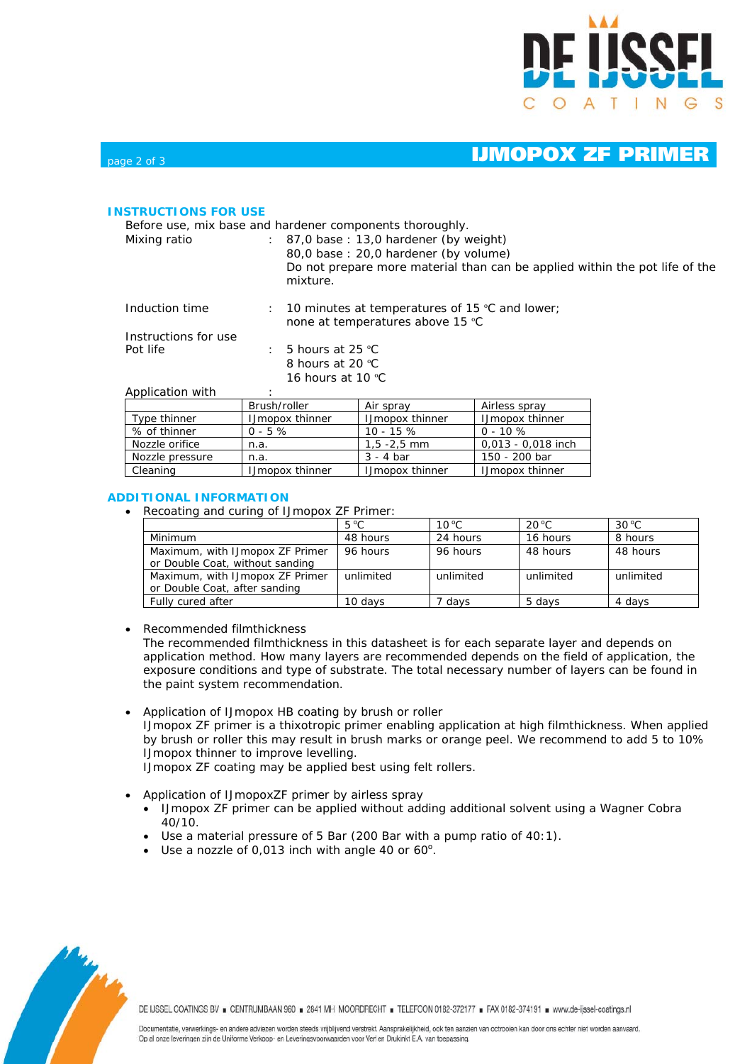

# $_{\text{page 2 of 3}}$   $_{\text{page 2 of 3}}$

### **INSTRUCTIONS FOR USE**

Before use, mix base and hardener components thoroughly.

Mixing ratio : 87,0 base : 13,0 hardener (by weight) 80,0 base : 20,0 hardener (by volume) Do not prepare more material than can be applied within the pot life of the mixture.

| Induction time                   | $\pm$ 10 minutes at temperatures of 15 °C and lower;<br>none at temperatures above 15 °C |
|----------------------------------|------------------------------------------------------------------------------------------|
| Instructions for use<br>Pot life | $\pm$ 5 hours at 25 °C<br>8 hours at 20 °C                                               |

16 hours at 10 °C

| Application with |  |
|------------------|--|
|------------------|--|

|                 | Brush/roller           | Air spray              | Airless spray          |  |
|-----------------|------------------------|------------------------|------------------------|--|
| Type thinner    | <b>IJmopox thinner</b> | <b>IJmopox thinner</b> | <b>IJmopox thinner</b> |  |
| % of thinner    | $0 - 5 \%$             | $10 - 15%$             | $0 - 10 \%$            |  |
| Nozzle orifice  | n.a.                   | $1, 5 - 2, 5$ mm       | 0,013 - 0,018 inch     |  |
| Nozzle pressure | n.a.                   | $3 - 4$ bar            | 150 - 200 bar          |  |
| Cleaning        | <b>IJmopox thinner</b> | <b>IJmopox thinner</b> | <b>IJmopox thinner</b> |  |

### **ADDITIONAL INFORMATION**

• Recoating and curing of IJmopox ZF Primer:

|                                 | $5^{\circ}$ C | $10^{\circ}$ C | $20^{\circ}$ C | $30^{\circ}$ C |
|---------------------------------|---------------|----------------|----------------|----------------|
| Minimum                         | 48 hours      | 24 hours       | 16 hours       | 8 hours        |
| Maximum, with IJmopox ZF Primer | 96 hours      | 96 hours       | 48 hours       | 48 hours       |
| or Double Coat, without sanding |               |                |                |                |
| Maximum, with IJmopox ZF Primer | unlimited     | unlimited      | unlimited      | unlimited      |
| or Double Coat, after sanding   |               |                |                |                |
| Fully cured after               | 10 davs       | / davs         | 5 davs         | 4 davs         |

• Recommended filmthickness

The recommended filmthickness in this datasheet is for each separate layer and depends on application method. How many layers are recommended depends on the field of application, the exposure conditions and type of substrate. The total necessary number of layers can be found in the paint system recommendation.

• Application of IJmopox HB coating by brush or roller IJmopox ZF primer is a thixotropic primer enabling application at high filmthickness. When applied by brush or roller this may result in brush marks or orange peel. We recommend to add 5 to 10% IJmopox thinner to improve levelling.

IJmopox ZF coating may be applied best using felt rollers.

- Application of IJmopoxZF primer by airless spray
	- IJmopox ZF primer can be applied without adding additional solvent using a Wagner Cobra 40/10.
	- Use a material pressure of 5 Bar (200 Bar with a pump ratio of 40:1).
	- Use a nozzle of 0,013 inch with angle 40 or  $60^\circ$ .



DE IJSSEL COATINGS BV B CENTRUMBAAN 960 B 2841 MH MOORDRECHT B TELEFOON 0182-372177 B FAX 0182-374191 B www.de-ijssel-coatings.nl